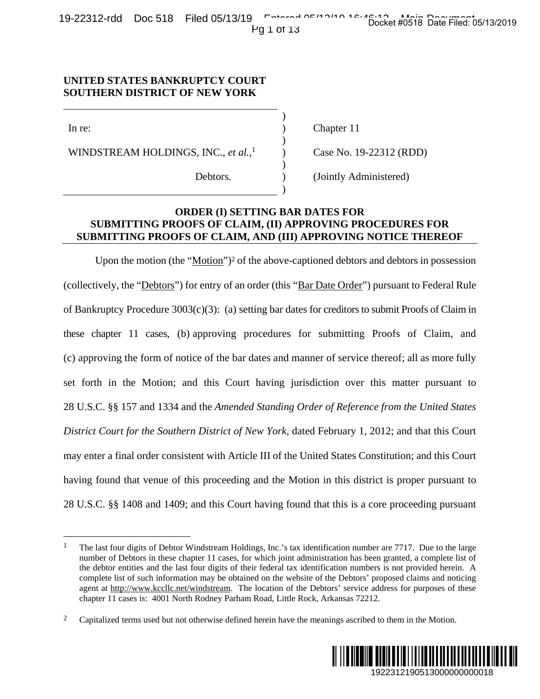19-22312-rdd Doc 518 Filed 05/13/19 Entered 05/13/19 16:46:13 Main Document Pg 1 of 13

### **UNITED STATES BANKRUPTCY COURT SOUTHERN DISTRICT OF NEW YORK**

 $)$ 

 $)$ 

 $)$ 

 $)$ 

 $\overline{a}$ 

WINDSTREAM HOLDINGS, INC., *et al.*,<sup>1</sup>  $\qquad$  ) Case No. 19-22312 (RDD)

In re: (a) Chapter 11

Debtors. (Jointly Administered)

# **ORDER (I) SETTING BAR DATES FOR SUBMITTING PROOFS OF CLAIM, (II) APPROVING PROCEDURES FOR SUBMITTING PROOFS OF CLAIM, AND (III) APPROVING NOTICE THEREOF**

Upon the motion (the "Motion")<sup>2</sup> of the above-captioned debtors and debtors in possession (collectively, the "Debtors") for entry of an order (this "Bar Date Order") pursuant to Federal Rule of Bankruptcy Procedure  $3003(c)(3)$ : (a) setting bar dates for creditors to submit Proofs of Claim in these chapter 11 cases, (b) approving procedures for submitting Proofs of Claim, and (c) approving the form of notice of the bar dates and manner of service thereof; all as more fully set forth in the Motion; and this Court having jurisdiction over this matter pursuant to 28 U.S.C. §§ 157 and 1334 and the *Amended Standing Order of Reference from the United States District Court for the Southern District of New York*, dated February 1, 2012; and that this Court may enter a final order consistent with Article III of the United States Constitution; and this Court having found that venue of this proceeding and the Motion in this district is proper pursuant to 28 U.S.C. §§ 1408 and 1409; and this Court having found that this is a core proceeding pursuant 22312 (RDD)<br>
22312 (RDD)<br>
22312 (RDD)<br>
22312 (RDD)<br>
22312 (RDD)<br>
22512 (RDD)<br>
22512 (RDD)<br>
22512 (PDD)<br>
22512 Data debtors in possession<br>
231000000000000000018 Data and thereof; all as more fully<br>
2012; and that this Cour

<sup>&</sup>lt;sup>2</sup> Capitalized terms used but not otherwise defined herein have the meanings ascribed to them in the Motion.



<sup>&</sup>lt;sup>1</sup> The last four digits of Debtor Windstream Holdings, Inc.'s tax identification number are 7717. Due to the large number of Debtors in these chapter 11 cases, for which joint administration has been granted, a complete list of the debtor entities and the last four digits of their federal tax identification numbers is not provided herein. A complete list of such information may be obtained on the website of the Debtors' proposed claims and noticing agent at http://www.kccllc.net/windstream. The location of the Debtors' service address for purposes of these chapter 11 cases is: 4001 North Rodney Parham Road, Little Rock, Arkansas 72212.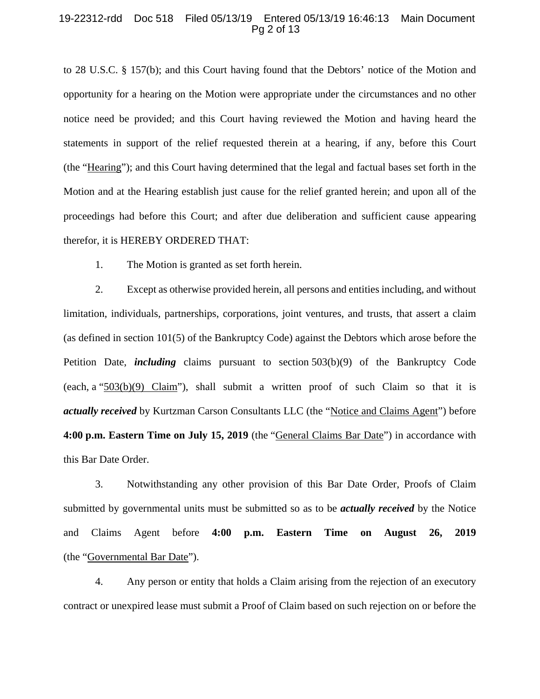#### 19-22312-rdd Doc 518 Filed 05/13/19 Entered 05/13/19 16:46:13 Main Document Pg 2 of 13

to 28 U.S.C. § 157(b); and this Court having found that the Debtors' notice of the Motion and opportunity for a hearing on the Motion were appropriate under the circumstances and no other notice need be provided; and this Court having reviewed the Motion and having heard the statements in support of the relief requested therein at a hearing, if any, before this Court (the "Hearing"); and this Court having determined that the legal and factual bases set forth in the Motion and at the Hearing establish just cause for the relief granted herein; and upon all of the proceedings had before this Court; and after due deliberation and sufficient cause appearing therefor, it is HEREBY ORDERED THAT:

1. The Motion is granted as set forth herein.

2. Except as otherwise provided herein, all persons and entities including, and without limitation, individuals, partnerships, corporations, joint ventures, and trusts, that assert a claim (as defined in section 101(5) of the Bankruptcy Code) against the Debtors which arose before the Petition Date, *including* claims pursuant to section 503(b)(9) of the Bankruptcy Code (each, a "503(b)(9) Claim"), shall submit a written proof of such Claim so that it is *actually received* by Kurtzman Carson Consultants LLC (the "Notice and Claims Agent") before **4:00 p.m. Eastern Time on July 15, 2019** (the "General Claims Bar Date") in accordance with this Bar Date Order.

3. Notwithstanding any other provision of this Bar Date Order, Proofs of Claim submitted by governmental units must be submitted so as to be *actually received* by the Notice and Claims Agent before **4:00 p.m. Eastern Time on August 26, 2019**  (the "Governmental Bar Date").

4. Any person or entity that holds a Claim arising from the rejection of an executory contract or unexpired lease must submit a Proof of Claim based on such rejection on or before the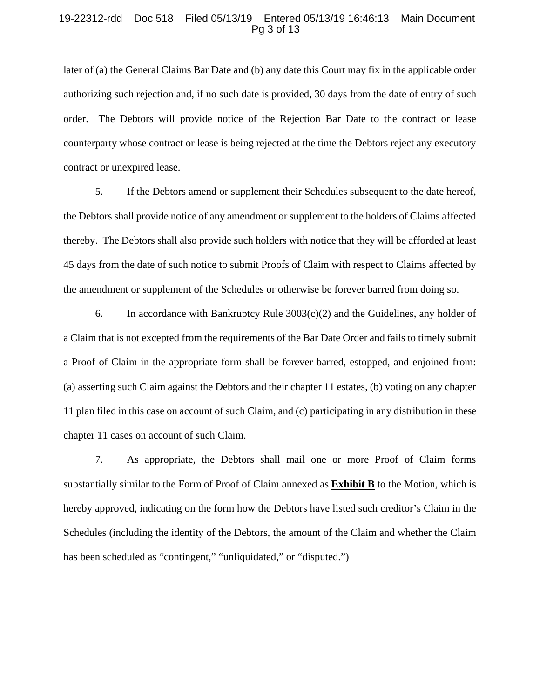#### 19-22312-rdd Doc 518 Filed 05/13/19 Entered 05/13/19 16:46:13 Main Document Pg 3 of 13

later of (a) the General Claims Bar Date and (b) any date this Court may fix in the applicable order authorizing such rejection and, if no such date is provided, 30 days from the date of entry of such order. The Debtors will provide notice of the Rejection Bar Date to the contract or lease counterparty whose contract or lease is being rejected at the time the Debtors reject any executory contract or unexpired lease.

5. If the Debtors amend or supplement their Schedules subsequent to the date hereof, the Debtors shall provide notice of any amendment or supplement to the holders of Claims affected thereby. The Debtors shall also provide such holders with notice that they will be afforded at least 45 days from the date of such notice to submit Proofs of Claim with respect to Claims affected by the amendment or supplement of the Schedules or otherwise be forever barred from doing so.

6. In accordance with Bankruptcy Rule  $3003(c)(2)$  and the Guidelines, any holder of a Claim that is not excepted from the requirements of the Bar Date Order and fails to timely submit a Proof of Claim in the appropriate form shall be forever barred, estopped, and enjoined from: (a) asserting such Claim against the Debtors and their chapter 11 estates, (b) voting on any chapter 11 plan filed in this case on account of such Claim, and (c) participating in any distribution in these chapter 11 cases on account of such Claim.

7. As appropriate, the Debtors shall mail one or more Proof of Claim forms substantially similar to the Form of Proof of Claim annexed as **Exhibit B** to the Motion, which is hereby approved, indicating on the form how the Debtors have listed such creditor's Claim in the Schedules (including the identity of the Debtors, the amount of the Claim and whether the Claim has been scheduled as "contingent," "unliquidated," or "disputed.")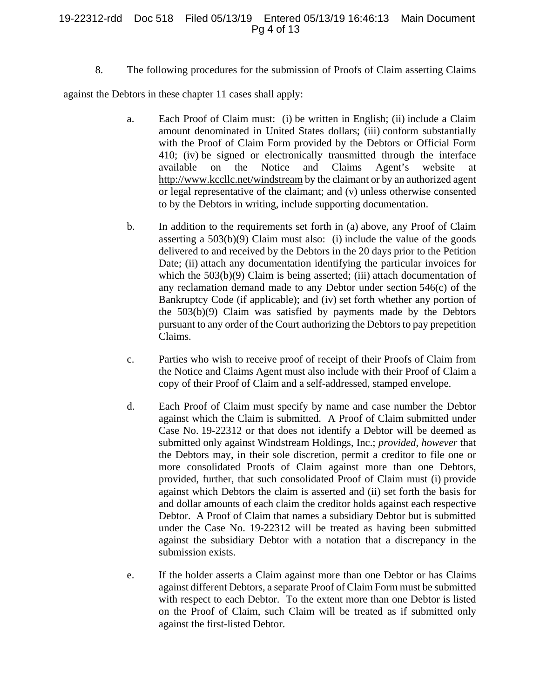### 19-22312-rdd Doc 518 Filed 05/13/19 Entered 05/13/19 16:46:13 Main Document Pg 4 of 13

8. The following procedures for the submission of Proofs of Claim asserting Claims

against the Debtors in these chapter 11 cases shall apply:

- a. Each Proof of Claim must: (i) be written in English; (ii) include a Claim amount denominated in United States dollars; (iii) conform substantially with the Proof of Claim Form provided by the Debtors or Official Form 410; (iv) be signed or electronically transmitted through the interface available on the Notice and Claims Agent's website at http://www.kccllc.net/windstream by the claimant or by an authorized agent or legal representative of the claimant; and (v) unless otherwise consented to by the Debtors in writing, include supporting documentation.
- b. In addition to the requirements set forth in (a) above, any Proof of Claim asserting a  $503(b)(9)$  Claim must also: (i) include the value of the goods delivered to and received by the Debtors in the 20 days prior to the Petition Date; (ii) attach any documentation identifying the particular invoices for which the  $503(b)(9)$  Claim is being asserted; (iii) attach documentation of any reclamation demand made to any Debtor under section 546(c) of the Bankruptcy Code (if applicable); and (iv) set forth whether any portion of the 503(b)(9) Claim was satisfied by payments made by the Debtors pursuant to any order of the Court authorizing the Debtors to pay prepetition Claims.
- c. Parties who wish to receive proof of receipt of their Proofs of Claim from the Notice and Claims Agent must also include with their Proof of Claim a copy of their Proof of Claim and a self-addressed, stamped envelope.
- d. Each Proof of Claim must specify by name and case number the Debtor against which the Claim is submitted. A Proof of Claim submitted under Case No. 19-22312 or that does not identify a Debtor will be deemed as submitted only against Windstream Holdings, Inc.; *provided*, *however* that the Debtors may, in their sole discretion, permit a creditor to file one or more consolidated Proofs of Claim against more than one Debtors, provided, further, that such consolidated Proof of Claim must (i) provide against which Debtors the claim is asserted and (ii) set forth the basis for and dollar amounts of each claim the creditor holds against each respective Debtor. A Proof of Claim that names a subsidiary Debtor but is submitted under the Case No. 19-22312 will be treated as having been submitted against the subsidiary Debtor with a notation that a discrepancy in the submission exists.
- e. If the holder asserts a Claim against more than one Debtor or has Claims against different Debtors, a separate Proof of Claim Form must be submitted with respect to each Debtor. To the extent more than one Debtor is listed on the Proof of Claim, such Claim will be treated as if submitted only against the first-listed Debtor.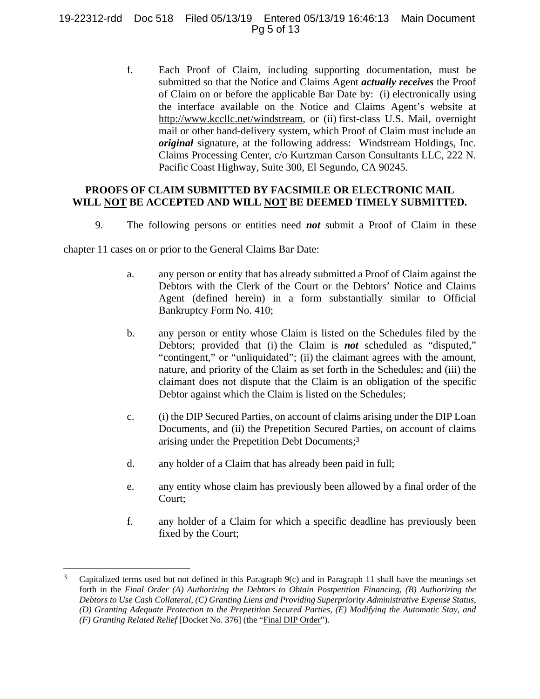## 19-22312-rdd Doc 518 Filed 05/13/19 Entered 05/13/19 16:46:13 Main Document Pg 5 of 13

f. Each Proof of Claim, including supporting documentation, must be submitted so that the Notice and Claims Agent *actually receives* the Proof of Claim on or before the applicable Bar Date by: (i) electronically using the interface available on the Notice and Claims Agent's website at http://www.kccllc.net/windstream, or (ii) first-class U.S. Mail, overnight mail or other hand-delivery system, which Proof of Claim must include an *original* signature, at the following address: Windstream Holdings, Inc. Claims Processing Center, c/o Kurtzman Carson Consultants LLC, 222 N. Pacific Coast Highway, Suite 300, El Segundo, CA 90245.

## **PROOFS OF CLAIM SUBMITTED BY FACSIMILE OR ELECTRONIC MAIL WILL NOT BE ACCEPTED AND WILL NOT BE DEEMED TIMELY SUBMITTED.**

9. The following persons or entities need *not* submit a Proof of Claim in these

chapter 11 cases on or prior to the General Claims Bar Date:

 $\overline{a}$ 

- a. any person or entity that has already submitted a Proof of Claim against the Debtors with the Clerk of the Court or the Debtors' Notice and Claims Agent (defined herein) in a form substantially similar to Official Bankruptcy Form No. 410;
- b. any person or entity whose Claim is listed on the Schedules filed by the Debtors; provided that (i) the Claim is *not* scheduled as "disputed," "contingent," or "unliquidated"; (ii) the claimant agrees with the amount, nature, and priority of the Claim as set forth in the Schedules; and (iii) the claimant does not dispute that the Claim is an obligation of the specific Debtor against which the Claim is listed on the Schedules;
- c. (i) the DIP Secured Parties, on account of claims arising under the DIP Loan Documents, and (ii) the Prepetition Secured Parties, on account of claims arising under the Prepetition Debt Documents;3
- d. any holder of a Claim that has already been paid in full;
- e. any entity whose claim has previously been allowed by a final order of the Court;
- f. any holder of a Claim for which a specific deadline has previously been fixed by the Court;

 $3$  Capitalized terms used but not defined in this Paragraph 9(c) and in Paragraph 11 shall have the meanings set forth in the *Final Order (A) Authorizing the Debtors to Obtain Postpetition Financing, (B) Authorizing the Debtors to Use Cash Collateral, (C) Granting Liens and Providing Superpriority Administrative Expense Status, (D) Granting Adequate Protection to the Prepetition Secured Parties, (E) Modifying the Automatic Stay, and (F) Granting Related Relief* [Docket No. 376] (the "Final DIP Order").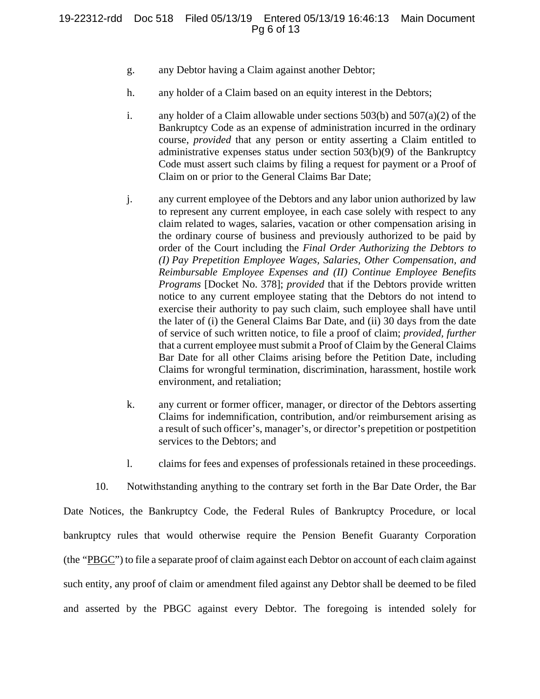- g. any Debtor having a Claim against another Debtor;
- h. any holder of a Claim based on an equity interest in the Debtors;
- i. any holder of a Claim allowable under sections 503(b) and 507(a)(2) of the Bankruptcy Code as an expense of administration incurred in the ordinary course, *provided* that any person or entity asserting a Claim entitled to administrative expenses status under section 503(b)(9) of the Bankruptcy Code must assert such claims by filing a request for payment or a Proof of Claim on or prior to the General Claims Bar Date;
- j. any current employee of the Debtors and any labor union authorized by law to represent any current employee, in each case solely with respect to any claim related to wages, salaries, vacation or other compensation arising in the ordinary course of business and previously authorized to be paid by order of the Court including the *Final Order Authorizing the Debtors to (I) Pay Prepetition Employee Wages, Salaries, Other Compensation, and Reimbursable Employee Expenses and (II) Continue Employee Benefits Programs* [Docket No. 378]; *provided* that if the Debtors provide written notice to any current employee stating that the Debtors do not intend to exercise their authority to pay such claim, such employee shall have until the later of (i) the General Claims Bar Date, and (ii) 30 days from the date of service of such written notice, to file a proof of claim; *provided, further* that a current employee must submit a Proof of Claim by the General Claims Bar Date for all other Claims arising before the Petition Date, including Claims for wrongful termination, discrimination, harassment, hostile work environment, and retaliation;
- k. any current or former officer, manager, or director of the Debtors asserting Claims for indemnification, contribution, and/or reimbursement arising as a result of such officer's, manager's, or director's prepetition or postpetition services to the Debtors; and
- l. claims for fees and expenses of professionals retained in these proceedings.

10. Notwithstanding anything to the contrary set forth in the Bar Date Order, the Bar Date Notices, the Bankruptcy Code, the Federal Rules of Bankruptcy Procedure, or local bankruptcy rules that would otherwise require the Pension Benefit Guaranty Corporation (the "PBGC") to file a separate proof of claim against each Debtor on account of each claim against such entity, any proof of claim or amendment filed against any Debtor shall be deemed to be filed and asserted by the PBGC against every Debtor. The foregoing is intended solely for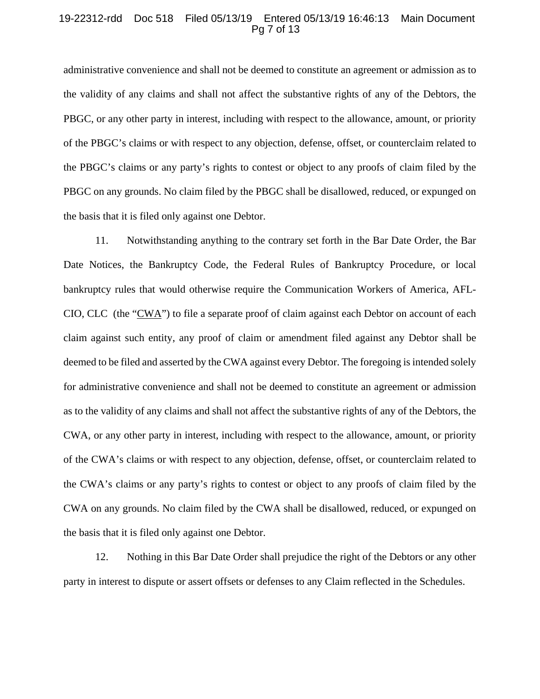#### 19-22312-rdd Doc 518 Filed 05/13/19 Entered 05/13/19 16:46:13 Main Document Pg 7 of 13

administrative convenience and shall not be deemed to constitute an agreement or admission as to the validity of any claims and shall not affect the substantive rights of any of the Debtors, the PBGC, or any other party in interest, including with respect to the allowance, amount, or priority of the PBGC's claims or with respect to any objection, defense, offset, or counterclaim related to the PBGC's claims or any party's rights to contest or object to any proofs of claim filed by the PBGC on any grounds. No claim filed by the PBGC shall be disallowed, reduced, or expunged on the basis that it is filed only against one Debtor.

11. Notwithstanding anything to the contrary set forth in the Bar Date Order, the Bar Date Notices, the Bankruptcy Code, the Federal Rules of Bankruptcy Procedure, or local bankruptcy rules that would otherwise require the Communication Workers of America, AFL-CIO, CLC (the "CWA") to file a separate proof of claim against each Debtor on account of each claim against such entity, any proof of claim or amendment filed against any Debtor shall be deemed to be filed and asserted by the CWA against every Debtor. The foregoing is intended solely for administrative convenience and shall not be deemed to constitute an agreement or admission as to the validity of any claims and shall not affect the substantive rights of any of the Debtors, the CWA, or any other party in interest, including with respect to the allowance, amount, or priority of the CWA's claims or with respect to any objection, defense, offset, or counterclaim related to the CWA's claims or any party's rights to contest or object to any proofs of claim filed by the CWA on any grounds. No claim filed by the CWA shall be disallowed, reduced, or expunged on the basis that it is filed only against one Debtor.

12. Nothing in this Bar Date Order shall prejudice the right of the Debtors or any other party in interest to dispute or assert offsets or defenses to any Claim reflected in the Schedules.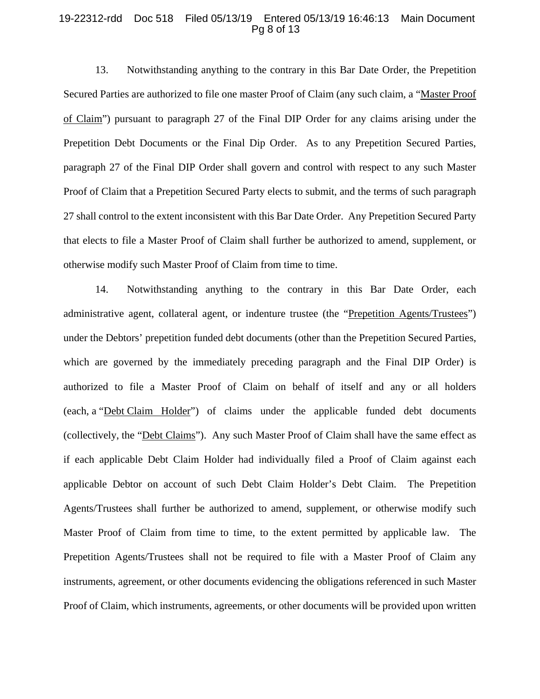#### 19-22312-rdd Doc 518 Filed 05/13/19 Entered 05/13/19 16:46:13 Main Document Pg 8 of 13

13. Notwithstanding anything to the contrary in this Bar Date Order, the Prepetition Secured Parties are authorized to file one master Proof of Claim (any such claim, a "Master Proof of Claim") pursuant to paragraph 27 of the Final DIP Order for any claims arising under the Prepetition Debt Documents or the Final Dip Order. As to any Prepetition Secured Parties, paragraph 27 of the Final DIP Order shall govern and control with respect to any such Master Proof of Claim that a Prepetition Secured Party elects to submit, and the terms of such paragraph 27 shall control to the extent inconsistent with this Bar Date Order. Any Prepetition Secured Party that elects to file a Master Proof of Claim shall further be authorized to amend, supplement, or otherwise modify such Master Proof of Claim from time to time.

14. Notwithstanding anything to the contrary in this Bar Date Order, each administrative agent, collateral agent, or indenture trustee (the "Prepetition Agents/Trustees") under the Debtors' prepetition funded debt documents (other than the Prepetition Secured Parties, which are governed by the immediately preceding paragraph and the Final DIP Order) is authorized to file a Master Proof of Claim on behalf of itself and any or all holders (each, a "Debt Claim Holder") of claims under the applicable funded debt documents (collectively, the "Debt Claims"). Any such Master Proof of Claim shall have the same effect as if each applicable Debt Claim Holder had individually filed a Proof of Claim against each applicable Debtor on account of such Debt Claim Holder's Debt Claim. The Prepetition Agents/Trustees shall further be authorized to amend, supplement, or otherwise modify such Master Proof of Claim from time to time, to the extent permitted by applicable law. The Prepetition Agents/Trustees shall not be required to file with a Master Proof of Claim any instruments, agreement, or other documents evidencing the obligations referenced in such Master Proof of Claim, which instruments, agreements, or other documents will be provided upon written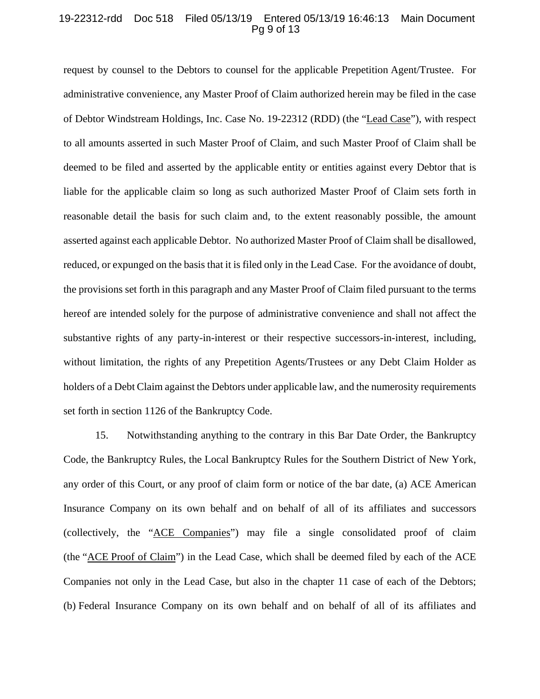### 19-22312-rdd Doc 518 Filed 05/13/19 Entered 05/13/19 16:46:13 Main Document Pg 9 of 13

request by counsel to the Debtors to counsel for the applicable Prepetition Agent/Trustee. For administrative convenience, any Master Proof of Claim authorized herein may be filed in the case of Debtor Windstream Holdings, Inc. Case No. 19-22312 (RDD) (the "Lead Case"), with respect to all amounts asserted in such Master Proof of Claim, and such Master Proof of Claim shall be deemed to be filed and asserted by the applicable entity or entities against every Debtor that is liable for the applicable claim so long as such authorized Master Proof of Claim sets forth in reasonable detail the basis for such claim and, to the extent reasonably possible, the amount asserted against each applicable Debtor. No authorized Master Proof of Claim shall be disallowed, reduced, or expunged on the basis that it is filed only in the Lead Case. For the avoidance of doubt, the provisions set forth in this paragraph and any Master Proof of Claim filed pursuant to the terms hereof are intended solely for the purpose of administrative convenience and shall not affect the substantive rights of any party-in-interest or their respective successors-in-interest, including, without limitation, the rights of any Prepetition Agents/Trustees or any Debt Claim Holder as holders of a Debt Claim against the Debtors under applicable law, and the numerosity requirements set forth in section 1126 of the Bankruptcy Code.

15. Notwithstanding anything to the contrary in this Bar Date Order, the Bankruptcy Code, the Bankruptcy Rules, the Local Bankruptcy Rules for the Southern District of New York, any order of this Court, or any proof of claim form or notice of the bar date, (a) ACE American Insurance Company on its own behalf and on behalf of all of its affiliates and successors (collectively, the "ACE Companies") may file a single consolidated proof of claim (the "ACE Proof of Claim") in the Lead Case, which shall be deemed filed by each of the ACE Companies not only in the Lead Case, but also in the chapter 11 case of each of the Debtors; (b) Federal Insurance Company on its own behalf and on behalf of all of its affiliates and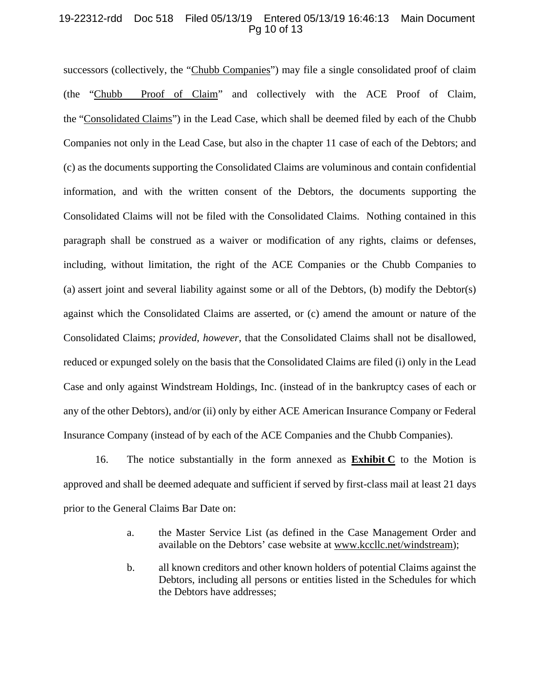### 19-22312-rdd Doc 518 Filed 05/13/19 Entered 05/13/19 16:46:13 Main Document Pg 10 of 13

successors (collectively, the "Chubb Companies") may file a single consolidated proof of claim (the "Chubb Proof of Claim" and collectively with the ACE Proof of Claim, the "Consolidated Claims") in the Lead Case, which shall be deemed filed by each of the Chubb Companies not only in the Lead Case, but also in the chapter 11 case of each of the Debtors; and (c) as the documents supporting the Consolidated Claims are voluminous and contain confidential information, and with the written consent of the Debtors, the documents supporting the Consolidated Claims will not be filed with the Consolidated Claims. Nothing contained in this paragraph shall be construed as a waiver or modification of any rights, claims or defenses, including, without limitation, the right of the ACE Companies or the Chubb Companies to (a) assert joint and several liability against some or all of the Debtors, (b) modify the Debtor(s) against which the Consolidated Claims are asserted, or (c) amend the amount or nature of the Consolidated Claims; *provided*, *however*, that the Consolidated Claims shall not be disallowed, reduced or expunged solely on the basis that the Consolidated Claims are filed (i) only in the Lead Case and only against Windstream Holdings, Inc. (instead of in the bankruptcy cases of each or any of the other Debtors), and/or (ii) only by either ACE American Insurance Company or Federal Insurance Company (instead of by each of the ACE Companies and the Chubb Companies).

16. The notice substantially in the form annexed as  $\overline{\text{Exhibit C}}$  to the Motion is approved and shall be deemed adequate and sufficient if served by first-class mail at least 21 days prior to the General Claims Bar Date on:

- a. the Master Service List (as defined in the Case Management Order and available on the Debtors' case website at www.kccllc.net/windstream);
- b. all known creditors and other known holders of potential Claims against the Debtors, including all persons or entities listed in the Schedules for which the Debtors have addresses;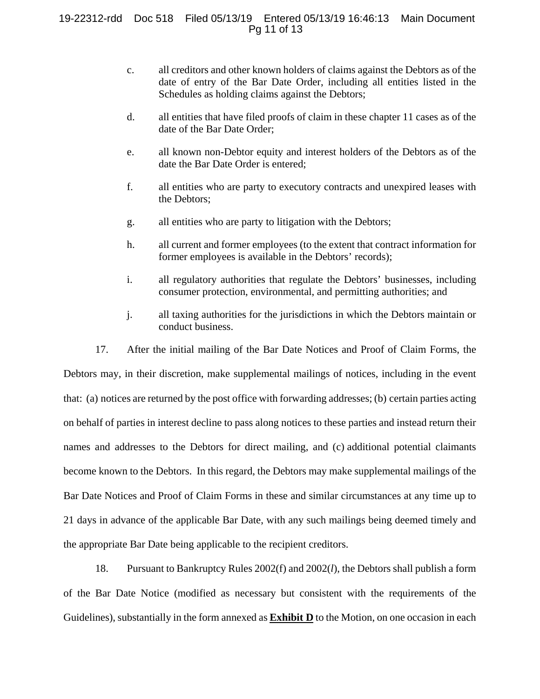- c. all creditors and other known holders of claims against the Debtors as of the date of entry of the Bar Date Order, including all entities listed in the Schedules as holding claims against the Debtors;
- d. all entities that have filed proofs of claim in these chapter 11 cases as of the date of the Bar Date Order;
- e. all known non-Debtor equity and interest holders of the Debtors as of the date the Bar Date Order is entered;
- f. all entities who are party to executory contracts and unexpired leases with the Debtors;
- g. all entities who are party to litigation with the Debtors;
- h. all current and former employees (to the extent that contract information for former employees is available in the Debtors' records);
- i. all regulatory authorities that regulate the Debtors' businesses, including consumer protection, environmental, and permitting authorities; and
- j. all taxing authorities for the jurisdictions in which the Debtors maintain or conduct business.

17. After the initial mailing of the Bar Date Notices and Proof of Claim Forms, the Debtors may, in their discretion, make supplemental mailings of notices, including in the event that: (a) notices are returned by the post office with forwarding addresses; (b) certain parties acting on behalf of parties in interest decline to pass along notices to these parties and instead return their names and addresses to the Debtors for direct mailing, and (c) additional potential claimants become known to the Debtors. In this regard, the Debtors may make supplemental mailings of the Bar Date Notices and Proof of Claim Forms in these and similar circumstances at any time up to 21 days in advance of the applicable Bar Date, with any such mailings being deemed timely and the appropriate Bar Date being applicable to the recipient creditors.

18. Pursuant to Bankruptcy Rules 2002(f) and 2002(*l*), the Debtors shall publish a form of the Bar Date Notice (modified as necessary but consistent with the requirements of the Guidelines), substantially in the form annexed as **Exhibit D** to the Motion, on one occasion in each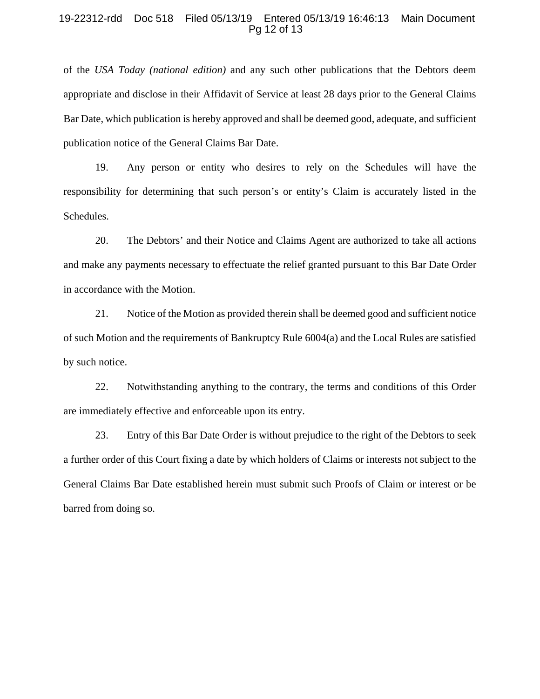#### 19-22312-rdd Doc 518 Filed 05/13/19 Entered 05/13/19 16:46:13 Main Document Pg 12 of 13

of the *USA Today (national edition)* and any such other publications that the Debtors deem appropriate and disclose in their Affidavit of Service at least 28 days prior to the General Claims Bar Date, which publication is hereby approved and shall be deemed good, adequate, and sufficient publication notice of the General Claims Bar Date.

19. Any person or entity who desires to rely on the Schedules will have the responsibility for determining that such person's or entity's Claim is accurately listed in the Schedules.

20. The Debtors' and their Notice and Claims Agent are authorized to take all actions and make any payments necessary to effectuate the relief granted pursuant to this Bar Date Order in accordance with the Motion.

21. Notice of the Motion as provided therein shall be deemed good and sufficient notice of such Motion and the requirements of Bankruptcy Rule 6004(a) and the Local Rules are satisfied by such notice.

22. Notwithstanding anything to the contrary, the terms and conditions of this Order are immediately effective and enforceable upon its entry.

23. Entry of this Bar Date Order is without prejudice to the right of the Debtors to seek a further order of this Court fixing a date by which holders of Claims or interests not subject to the General Claims Bar Date established herein must submit such Proofs of Claim or interest or be barred from doing so.